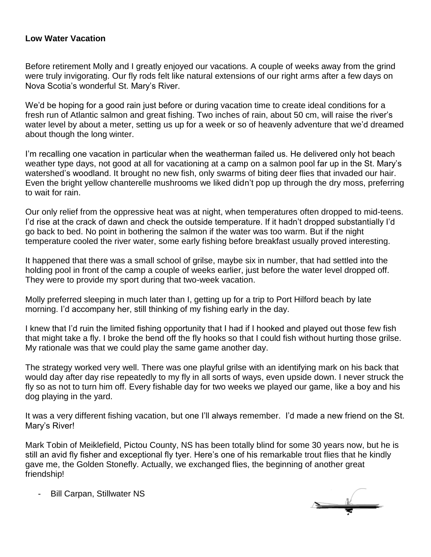## **Low Water Vacation**

Before retirement Molly and I greatly enjoyed our vacations. A couple of weeks away from the grind were truly invigorating. Our fly rods felt like natural extensions of our right arms after a few days on Nova Scotia's wonderful St. Mary's River.

We'd be hoping for a good rain just before or during vacation time to create ideal conditions for a fresh run of Atlantic salmon and great fishing. Two inches of rain, about 50 cm, will raise the river's water level by about a meter, setting us up for a week or so of heavenly adventure that we'd dreamed about though the long winter.

I'm recalling one vacation in particular when the weatherman failed us. He delivered only hot beach weather type days, not good at all for vacationing at a camp on a salmon pool far up in the St. Mary's watershed's woodland. It brought no new fish, only swarms of biting deer flies that invaded our hair. Even the bright yellow chanterelle mushrooms we liked didn't pop up through the dry moss, preferring to wait for rain.

Our only relief from the oppressive heat was at night, when temperatures often dropped to mid-teens. I'd rise at the crack of dawn and check the outside temperature. If it hadn't dropped substantially I'd go back to bed. No point in bothering the salmon if the water was too warm. But if the night temperature cooled the river water, some early fishing before breakfast usually proved interesting.

It happened that there was a small school of grilse, maybe six in number, that had settled into the holding pool in front of the camp a couple of weeks earlier, just before the water level dropped off. They were to provide my sport during that two-week vacation.

Molly preferred sleeping in much later than I, getting up for a trip to Port Hilford beach by late morning. I'd accompany her, still thinking of my fishing early in the day.

I knew that I'd ruin the limited fishing opportunity that I had if I hooked and played out those few fish that might take a fly. I broke the bend off the fly hooks so that I could fish without hurting those grilse. My rationale was that we could play the same game another day.

The strategy worked very well. There was one playful grilse with an identifying mark on his back that would day after day rise repeatedly to my fly in all sorts of ways, even upside down. I never struck the fly so as not to turn him off. Every fishable day for two weeks we played our game, like a boy and his dog playing in the yard.

It was a very different fishing vacation, but one I'll always remember. I'd made a new friend on the St. Mary's River!

Mark Tobin of Meiklefield, Pictou County, NS has been totally blind for some 30 years now, but he is still an avid fly fisher and exceptional fly tyer. Here's one of his remarkable trout flies that he kindly gave me, the Golden Stonefly. Actually, we exchanged flies, the beginning of another great friendship!

Bill Carpan, Stillwater NS